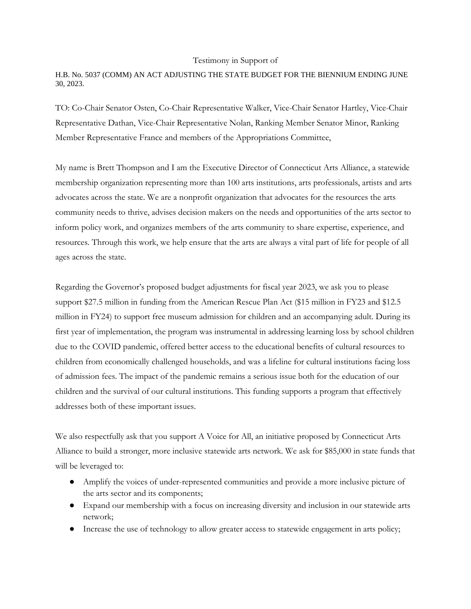## Testimony in Support of

## H.B. No. 5037 (COMM) AN ACT ADJUSTING THE STATE BUDGET FOR THE BIENNIUM ENDING JUNE 30, 2023.

TO: Co-Chair Senator Osten, Co-Chair Representative Walker, Vice-Chair Senator Hartley, Vice-Chair Representative Dathan, Vice-Chair Representative Nolan, Ranking Member Senator Minor, Ranking Member Representative France and members of the Appropriations Committee,

My name is Brett Thompson and I am the Executive Director of Connecticut Arts Alliance, a statewide membership organization representing more than 100 arts institutions, arts professionals, artists and arts advocates across the state. We are a nonprofit organization that advocates for the resources the arts community needs to thrive, advises decision makers on the needs and opportunities of the arts sector to inform policy work, and organizes members of the arts community to share expertise, experience, and resources. Through this work, we help ensure that the arts are always a vital part of life for people of all ages across the state.

Regarding the Governor's proposed budget adjustments for fiscal year 2023, we ask you to please support \$27.5 million in funding from the American Rescue Plan Act (\$15 million in FY23 and \$12.5 million in FY24) to support free museum admission for children and an accompanying adult. During its first year of implementation, the program was instrumental in addressing learning loss by school children due to the COVID pandemic, offered better access to the educational benefits of cultural resources to children from economically challenged households, and was a lifeline for cultural institutions facing loss of admission fees. The impact of the pandemic remains a serious issue both for the education of our children and the survival of our cultural institutions. This funding supports a program that effectively addresses both of these important issues.

We also respectfully ask that you support A Voice for All, an initiative proposed by Connecticut Arts Alliance to build a stronger, more inclusive statewide arts network. We ask for \$85,000 in state funds that will be leveraged to:

- Amplify the voices of under-represented communities and provide a more inclusive picture of the arts sector and its components;
- Expand our membership with a focus on increasing diversity and inclusion in our statewide arts network;
- Increase the use of technology to allow greater access to statewide engagement in arts policy;